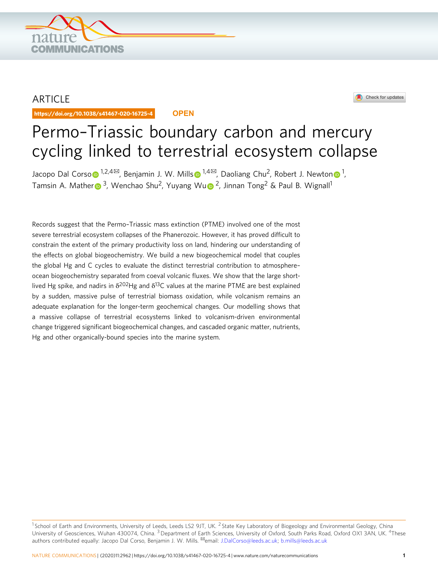

# ARTICLE

https://doi.org/10.1038/s41467-020-16725-4 **OPEN**



# Permo–Triassic boundary carbon and mercury cycling linked to terrestrial ecosystem collapse

Jac[o](http://orcid.org/0000-0002-2500-4097)po Dal Cor[s](http://orcid.org/0000-0002-9141-0931)o⊕ <sup>[1](http://orcid.org/0000-0002-9141-0931),2,4⊠</sup>, Be[n](http://orcid.org/0000-0003-0144-6867)jamin J. W. Mills⊕ <sup>1,4⊠</sup>, Daoliang Chu<sup>2</sup>, Robert J. Newton⊕ <sup>1</sup>, Tamsin A. Mathe[r](http://orcid.org/0000-0003-4259-7303) <s[u](http://orcid.org/0000-0001-8592-0305)p>3</sup>, Wenchao Shu<sup>2</sup>, Yuyang Wu <sup>2</sup>, Jinnan Tong<sup>2</sup> & Paul B. Wignall<sup>1</sup>

Records suggest that the Permo–Triassic mass extinction (PTME) involved one of the most severe terrestrial ecosystem collapses of the Phanerozoic. However, it has proved difficult to constrain the extent of the primary productivity loss on land, hindering our understanding of the effects on global biogeochemistry. We build a new biogeochemical model that couples the global Hg and C cycles to evaluate the distinct terrestrial contribution to atmosphere– ocean biogeochemistry separated from coeval volcanic fluxes. We show that the large shortlived Hg spike, and nadirs in  $\delta^{202}$ Hg and  $\delta^{13}$ C values at the marine PTME are best explained by a sudden, massive pulse of terrestrial biomass oxidation, while volcanism remains an adequate explanation for the longer-term geochemical changes. Our modelling shows that a massive collapse of terrestrial ecosystems linked to volcanism-driven environmental change triggered significant biogeochemical changes, and cascaded organic matter, nutrients, Hg and other organically-bound species into the marine system.

<sup>&</sup>lt;sup>1</sup> School of Earth and Environments, University of Leeds, Leeds LS2 9JT, UK. <sup>2</sup> State Key Laboratory of Biogeology and Environmental Geology, China University of Geosciences, Wuhan 430074, China. <sup>3</sup> Department of Earth Sciences, University of Oxford, South Parks Road, Oxford OX1 3AN, UK. <sup>4</sup>These authors contributed equally: Jacopo Dal Corso, Benjamin J. W. Mills. <sup>⊠</sup>email: [J.DalCorso@leeds.ac.uk](mailto:J.DalCorso@leeds.ac.uk); [b.mills@leeds.ac.uk](mailto:b.mills@leeds.ac.uk)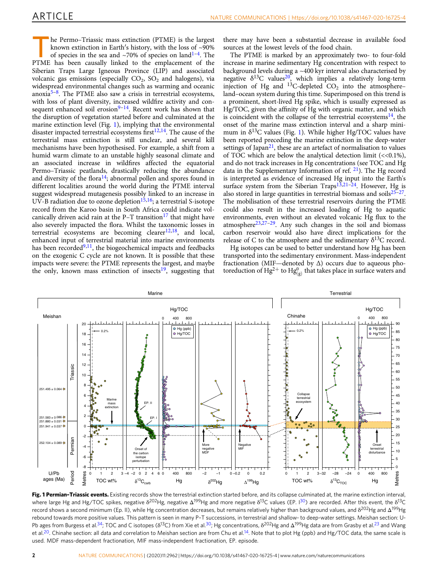<span id="page-1-0"></span>he Permo–Triassic mass extinction (PTME) is the largest known extinction in Earth′s history, with the loss of ~90% of species in the sea and  $\sim$ 70% of species on land<sup>[1](#page-7-0)-4</sup>. The PTME has been causally linked to the emplacement of the Siberian Traps Large Igneous Province (LIP) and associated volcanic gas emissions (especially  $CO<sub>2</sub>$ ,  $SO<sub>2</sub>$  and halogens), via widespread environmental changes such as warming and oceanic anoxia<sup>[5](#page-7-0)–8</sup>. The PTME also saw a crisis in terrestrial ecosystems, with loss of plant diversity, increased wildfire activity and consequent enhanced soil erosion $9-14$  $9-14$  $9-14$ . Recent work has shown that the disruption of vegetation started before and culminated at the marine extinction level (Fig. 1), implying that the environmental disaster impacted terrestrial ecosystems first $1^{2,14}$ . The cause of the terrestrial mass extinction is still unclear, and several kill mechanisms have been hypothesised. For example, a shift from a humid warm climate to an unstable highly seasonal climate and an associated increase in wildfires affected the equatorial Permo–Triassic peatlands, drastically reducing the abundance and diversity of the flora<sup>14</sup>; abnormal pollen and spores found in different localities around the world during the PTME interval suggest widespread mutagenesis possibly linked to an increase in UV-B radiation due to ozone depletion $15,16$  $15,16$  $15,16$ ; a terrestrial S-isotope record from the Karoo basin in South Africa could indicate volcanically driven acid rain at the  $P-T$  transition<sup>[17](#page-7-0)</sup> that might have also severely impacted the flora. Whilst the taxonomic losses in terrestrial ecosystems are becoming clearer $12,18$  $12,18$  $12,18$ , and local, enhanced input of terrestrial material into marine environments has been recorded $9,11$ , the biogeochemical impacts and feedbacks on the exogenic C cycle are not known. It is possible that these impacts were severe: the PTME represents the largest, and maybe the only, known mass extinction of insects<sup>19</sup>, suggesting that there may have been a substantial decrease in available food sources at the lowest levels of the food chain.

The PTME is marked by an approximately two- to four-fold increase in marine sedimentary Hg concentration with respect to background levels during a  $\sim$ 400 kyr interval also characterised by negative  $\delta^{13}$ C values<sup>20</sup>, which implies a relatively long-term injection of Hg and  $^{13}$ C-depleted CO<sub>2</sub> into the atmosphere– land–ocean system during this time. Superimposed on this trend is a prominent, short-lived Hg spike, which is usually expressed as Hg/TOC, given the affinity of Hg with organic matter, and which is coincident with the collapse of the terrestrial ecosystems $^{14}$ , the onset of the marine mass extinction interval and a sharp minimum in  $\delta^{13}$ C values (Fig. 1). While higher Hg/TOC values have been reported preceding the marine extinction in the deep-water settings of Japan<sup>21</sup>, these are an artefact of normalisation to values of TOC which are below the analytical detection limit  $\langle \langle 0.1 \rangle$ , and do not track increases in Hg concentrations (see TOC and Hg data in the Supplementary Information of ref.  $21$ ). The Hg record is interpreted as evidence of increased Hg input into the Earth's surface system from the Siberian Traps<sup>[13,21](#page-7-0)-24</sup>. However, Hg is also stored in large quantities in terrestrial biomass and soils $25-27$ . The mobilisation of these terrestrial reservoirs during the PTME could also result in the increased loading of Hg to aquatic environments, even without an elevated volcanic Hg flux to the atmosphere<sup>23,27–[29](#page-7-0)</sup>. Any such changes in the soil and biomass carbon reservoir would also have direct implications for the release of C to the atmosphere and the sedimentary  $\delta^{13}C$  record.

Hg isotopes can be used to better understand how Hg has been transported into the sedimentary environment. Mass-independent fractionation (MIF—denoted by  $\Delta$ ) occurs due to aqueous photoreduction of  $Hg^{2+}$  to  $Hg_{(g)}^{0}$  that takes place in surface waters and



Fig. 1 Permian-Triassic events. Existing records show the terrestrial extinction started before, and its collapse culminated at, the marine extinction interval, where large Hg and Hg/TOC spikes, negative  $\delta^{202}$ Hg, negative  $\Delta^{199}$ Hg and more negative  $\delta^{13}$ C values (EP. 1[30](#page-7-0)) are recorded. After this event, the  $\delta^{13}$ C record shows a second minimum (Ep. II), while Hg concentration decreases, but remains relatively higher than background values, and δ<sup>202</sup>Hg and Δ<sup>199</sup>Hg rebound towards more positive values. This pattern is seen in many P–T successions, in terrestrial and shallow- to deep-water settings. Meishan section: U-Pb ages from Burgess et al.<sup>34</sup>; TOC and C isotopes (δ<sup>13</sup>C) from Xie et al.<sup>30</sup>; Hg concentrations, δ<sup>202</sup>Hg and Δ<sup>199</sup>Hg data are from Grasby et al.<sup>23</sup> and Wang et al.<sup>20</sup>. Chinahe section: all data and correlation to Meishan section are from Chu et al.<sup>14</sup>. Note that to plot Hg (ppb) and Hg/TOC data, the same scale is used. MDF mass-dependent fractionation, MIF mass-independent fractionation, EP. episode.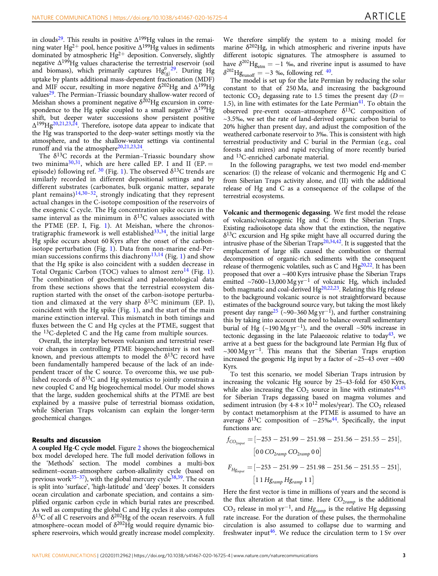in clouds<sup>29</sup>. This results in positive  $\Delta^{199}$ Hg values in the remaining water Hg<sup>2+</sup> pool, hence positive  $\Delta^{199}$ Hg values in sediments dominated by atmospheric  $Hg^{2+}$  deposition. Conversely, slightly negative  $\Delta^{199}$ Hg values characterise the terrestrial reservoir (soil and biomass), which primarily captures  $Hg_{(g)}^0$ <sup>[29](#page-7-0)</sup>. During Hg uptake by plants additional mass-dependent fractionation (MDF) and MIF occur, resulting in more negative  $\delta^{202}$ Hg and  $\Delta^{199}$ Hg values<sup>29</sup>. The Permian–Triassic boundary shallow-water record of Meishan shows a prominent negative  $\delta^{202}$ Hg excursion in correspondence to the Hg spike coupled to a small negative  $\Delta^{199}$ Hg shift, but deeper water successions show persistent positive Δ199Hg[20,21,23,24](#page-7-0). Therefore, isotope data appear to indicate that the Hg was transported to the deep-water settings mostly via the atmosphere, and to the shallow-water settings via continental runoff and via the atmosphere $20,21,23,24$  $20,21,23,24$ .

The  $\delta^{13}$ C records at the Permian–Triassic boundary show two minima<sup>[30](#page-7-0),31</sup>, which are here called EP. I and II (EP. = episode) following ref.  $30$  (Fig. [1](#page-1-0)). The observed  $\delta^{13}$ C trends are similarly recorded in different depositional settings and by different substrates (carbonates, bulk organic matter, separate plant remains)<sup>[14,30](#page-7-0)–32</sup>, strongly indicating that they represent actual changes in the C-isotope composition of the reservoirs of the exogenic C cycle. The Hg concentration spike occurs in the same interval as the minimum in  $\delta^{13}$ C values associated with the PTME (EP. I, Fig. [1](#page-1-0)). At Meishan, where the chronostratigraphic framework is well established  $33,34$ , the initial large Hg spike occurs about 60 Kyrs after the onset of the carbonisotope perturbation (Fig. [1\)](#page-1-0). Data from non-marine end-Per-mian successions confirms this diachrony<sup>[13,14](#page-7-0)</sup> (Fig. [1](#page-1-0)) and show that the Hg spike is also coincident with a sudden decrease in Total Organic Carbon (TOC) values to almost zero<sup>[14](#page-7-0)</sup> (Fig. [1](#page-1-0)). The combination of geochemical and palaeontological data from these sections shows that the terrestrial ecosystem disruption started with the onset of the carbon-isotope perturbation and climaxed at the very sharp  $\delta^{13}$ C minimum (EP. I), coincident with the Hg spike (Fig. [1](#page-1-0)), and the start of the main marine extinction interval. This mismatch in both timings and fluxes between the C and Hg cycles at the PTME, suggest that the 13C-depleted C and the Hg came from multiple sources.

Overall, the interplay between volcanism and terrestrial reservoir changes in controlling PTME biogeochemistry is not well known, and previous attempts to model the  $\delta^{13}C$  record have been fundamentally hampered because of the lack of an independent tracer of the C source. To overcome this, we use published records of  $\delta^{13}$ C and Hg systematics to jointly constrain a new coupled C and Hg biogeochemical model. Our model shows that the large, sudden geochemical shifts at the PTME are best explained by a massive pulse of terrestrial biomass oxidation, while Siberian Traps volcanism can explain the longer-term geochemical changes.

# Results and discussion

A coupled Hg-C cycle model. Figure [2](#page-3-0) shows the biogeochemical box model developed here. The full model derivation follows in the 'Methods' section. The model combines a multi-box sediment–ocean–atmosphere carbon-alkalinity cycle (based on previous work $35-37$  $35-37$  $35-37$ ), with the global mercury cycle $38,39$  $38,39$ . The ocean is split into 'surface', 'high-latitude' and 'deep' boxes. It considers ocean circulation and carbonate speciation, and contains a simplified organic carbon cycle in which burial rates are prescribed. As well as computing the global C and Hg cycles it also computes  $\delta^{13}$ C of all C reservoirs and  $\delta^{202}$ Hg of the ocean reservoirs. A full atmosphere–ocean model of  $\delta^{202}$ Hg would require dynamic biosphere reservoirs, which would greatly increase model complexity. We therefore simplify the system to a mixing model for marine  $\delta^{202}$ Hg, in which atmospheric and riverine inputs have different isotopic signatures. The atmosphere is assumed to have  $\delta^{202}$ Hg<sub>atm</sub> = -1 ‰, and riverine input is assumed to have  $\delta^{202}$ Hg<sub>runoff</sub> = -3 ‰, following ref. <sup>[40](#page-8-0)</sup>.

The model is set up for the late Permian by reducing the solar constant to that of 250 Ma, and increasing the background tectonic CO<sub>2</sub> degassing rate to 1.5 times the present day  $(D =$ 1.5), in line with estimates for the Late Permian $41$ . To obtain the observed pre-event ocean–atmosphere  $\delta^{13}$ C composition of ~3.5‰, we set the rate of land-derived organic carbon burial to 20% higher than present day, and adjust the composition of the weathered carbonate reservoir to 3‰. This is consistent with high terrestrial productivity and C burial in the Permian (e.g., coal forests and mires) and rapid recycling of more recently buried and 13C-enriched carbonate material.

In the following paragraphs, we test two model end-member scenarios: (I) the release of volcanic and thermogenic Hg and C from Siberian Traps activity alone, and (II) with the additional release of Hg and C as a consequence of the collapse of the terrestrial ecosystems.

Volcanic and thermogenic degassing. We first model the release of volcanic/volcanogenic Hg and C from the Siberian Traps. Existing radioisotope data show that the extinction, the negative  $\delta^{13}$ C excursion and Hg spike might have all occurred during the intrusive phase of the Siberian Traps<sup>[20,34](#page-7-0)[,42](#page-8-0)</sup>. It is suggested that the emplacement of large sills caused the combustion or thermal decomposition of organic-rich sediments with the consequent release of thermogenic volatiles, such as C and  $Hg^{20,22}$ . It has been proposed that over a ~400 Kyrs intrusive phase the Siberian Traps emitted ~7600–13,000 Mg yr<sup>-1</sup> of volcanic Hg, which included both magmatic and coal-derived  $Hg^{20,22,23}$  $Hg^{20,22,23}$  $Hg^{20,22,23}$ . Relating this Hg release to the background volcanic source is not straightforward because estimates of the background source vary, but taking the most likely present day range<sup>25</sup> (~90–360 Mg yr<sup>-1</sup>), and further constraining this by taking into account the need to balance overall sedimentary burial of Hg (~190 Mg yr<sup>-1</sup>), and the overall ~50% increase in tectonic degassing in the late Palaeozoic relative to today<sup>43</sup>, we arrive at a best guess for the background late Permian Hg flux of  $\sim$ 300 Mg yr<sup>-1</sup>. This means that the Siberian Traps eruption increased the geogenic Hg input by a factor of  $\sim$ 25–43 over  $\sim$ 400 Kyrs.

To test this scenario, we model Siberian Traps intrusion by increasing the volcanic Hg source by 25–43-fold for 450 Kyrs, while also increasing the  $CO<sub>2</sub>$  source in line with estimates<sup>44,45</sup> for Siberian Traps degassing based on magma volumes and sediment intrusion (by  $4-8 \times 10^{12}$  moles/year). The CO<sub>2</sub> released by contact metamorphism at the PTME is assumed to have an average  $\delta^{13}$ C composition of  $-25\%$ <sup>[44](#page-8-0)</sup>. Specifically, the input functions are:

$$
f_{CO_{2input}} = [-253 - 251.99 - 251.98 - 251.56 - 251.55 - 251],
$$
  
\n
$$
[0 0 CO_{2ramp} CO_{2ramp} 0 0]
$$
  
\n
$$
F_{Hg_{input}} = [-253 - 251.99 - 251.98 - 251.56 - 251.55 - 251],
$$

$$
\left[1\,1\,Hg_{ramp}\,Hg_{ramp}\,1\,1\right]
$$

Here the first vector is time in millions of years and the second is the flux alteration at that time. Here  $CO_{2ramp}$  is the additional CO<sub>2</sub> release in mol yr<sup>-1</sup>, and  $Hg_{ramp}$  is the relative Hg degassing rate increase. For the duration of these pulses, the thermohaline circulation is also assumed to collapse due to warming and freshwater input<sup>[46](#page-8-0)</sup>. We reduce the circulation term to 1 Sv over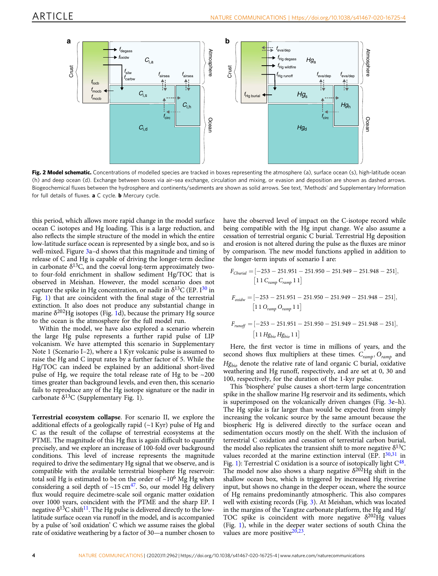<span id="page-3-0"></span>

Fig. 2 Model schematic. Concentrations of modelled species are tracked in boxes representing the atmosphere (a), surface ocean (s), high-latitude ocean (h) and deep ocean (d). Exchange between boxes via air–sea exchange, circulation and mixing, or evasion and deposition are shown as dashed arrows. Biogeochemical fluxes between the hydrosphere and continents/sediments are shown as solid arrows. See text, 'Methods' and Supplementary Information for full details of fluxes. a C cycle. **b** Mercury cycle.

this period, which allows more rapid change in the model surface ocean C isotopes and Hg loading. This is a large reduction, and also reflects the simple structure of the model in which the entire low-latitude surface ocean is represented by a single box, and so is well-mixed. Figure [3](#page-4-0)a–d shows that this magnitude and timing of release of C and Hg is capable of driving the longer-term decline in carbonate  $\delta^{13}$ C, and the coeval long-term approximately twoto four-fold enrichment in shallow sediment Hg/TOC that is observed in Meishan. However, the model scenario does not capture the spike in Hg concentration, or nadir in  $\delta^{13}C$  (EP.  $I^{30}$  $I^{30}$  $I^{30}$  in Fig. [1\)](#page-1-0) that are coincident with the final stage of the terrestrial extinction. It also does not produce any substantial change in marine  $\delta^{202}$ Hg isotopes (Fig. [1](#page-1-0)d), because the primary Hg source to the ocean is the atmosphere for the full model run.

Within the model, we have also explored a scenario wherein the large Hg pulse represents a further rapid pulse of LIP volcanism. We have attempted this scenario in Supplementary Note 1 (Scenario I–2), where a 1 Kyr volcanic pulse is assumed to raise the Hg and C input rates by a further factor of 5. While the Hg/TOC can indeed be explained by an additional short-lived pulse of Hg, we require the total release rate of Hg to be ~200 times greater than background levels, and even then, this scenario fails to reproduce any of the Hg isotope signature or the nadir in carbonate  $\delta^{13}$ C (Supplementary Fig. 1).

Terrestrial ecosystem collapse. For scenario II, we explore the additional effects of a geologically rapid  $(-1$  Kyr) pulse of Hg and C as the result of the collapse of terrestrial ecosystems at the PTME. The magnitude of this Hg flux is again difficult to quantify precisely, and we explore an increase of 100-fold over background conditions. This level of increase represents the magnitude required to drive the sedimentary Hg signal that we observe, and is compatible with the available terrestrial biosphere Hg reservoir: total soil Hg is estimated to be on the order of  $\sim$  10<sup>6</sup> Mg Hg when considering a soil depth of  $\sim$ 15 cm<sup>47</sup>. So, our model Hg delivery flux would require decimetre-scale soil organic matter oxidation over 1000 years, coincident with the PTME and the sharp EP. I negative  $\delta^{13}C$  shift<sup>11</sup>. The Hg pulse is delivered directly to the lowlatitude surface ocean via runoff in the model, and is accompanied by a pulse of 'soil oxidation' C which we assume raises the global rate of oxidative weathering by a factor of 30—a number chosen to

have the observed level of impact on the C-isotope record while being compatible with the Hg input change. We also assume a cessation of terrestrial organic C burial. Terrestrial Hg deposition and erosion is not altered during the pulse as the fluxes are minor by comparison. The new model functions applied in addition to the longer-term inputs of scenario I are:

$$
F_{Cburial} = [-253 - 251.951 - 251.950 - 251.949 - 251.948 - 251],
$$
  
\n
$$
[1 1 C_{ramp} C_{ramp} 1 1]
$$
  
\n
$$
F_{oxidw} = [-253 - 251.951 - 251.950 - 251.949 - 251.948 - 251],
$$
  
\n
$$
[1 1 O_{ramp} O_{ramp} 1 1]
$$
  
\n
$$
F_{runoff} = [-253 - 251.951 - 251.950 - 251.949 - 251.948 - 251],
$$
  
\n
$$
[1 1 Hg_{bio} Hg_{bio} 1 1]
$$

Here, the first vector is time in millions of years, and the second shows flux multipliers at these times.  $C_{ramp}$ ,  $O_{ramp}$  and  $Hg_{bio}$  denote the relative rate of land organic C burial, oxidative weathering and Hg runoff, respectively, and are set at 0, 30 and 100, respectively, for the duration of the 1-kyr pulse.

This 'biosphere' pulse causes a short-term large concentration spike in the shallow marine Hg reservoir and its sediments, which is superimposed on the volcanically driven changes (Fig. [3e](#page-4-0)–h). The Hg spike is far larger than would be expected from simply increasing the volcanic source by the same amount because the biospheric Hg is delivered directly to the surface ocean and sedimentation occurs mostly on the shelf. With the inclusion of terrestrial C oxidation and cessation of terrestrial carbon burial, the model also replicates the transient shift to more negative  $\delta^{13}C$ values recorded at the marine extinction interval (EP.  $I^{30,31}$  $I^{30,31}$  $I^{30,31}$  $I^{30,31}$  $I^{30,31}$  in Fig. [1](#page-1-0)): Terrestrial C oxidation is a source of isotopically light  $C^{48}$ . The model now also shows a sharp negative  $\delta^{202}$ Hg shift in the shallow ocean box, which is triggered by increased Hg riverine input, but shows no change in the deeper ocean, where the source of Hg remains predominantly atmospheric. This also compares well with existing records (Fig. [3](#page-4-0)). At Meishan, which was located in the margins of the Yangtze carbonate platform, the Hg and Hg/ TOC spike is coincident with more negative  $\delta^{202}$ Hg values (Fig. [1](#page-1-0)), while in the deeper water sections of south China the values are more positive $20,23$ .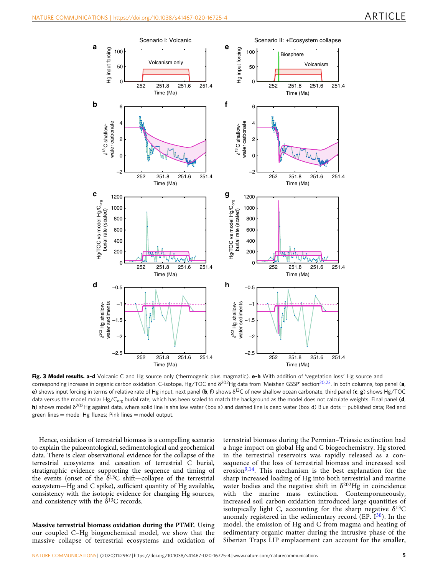<span id="page-4-0"></span>

Fig. 3 Model results. a-d Volcanic C and Hg source only (thermogenic plus magmatic). e-h With addition of 'vegetation loss' Hg source and corresponding increase in organic carbon oxidation. C-isotope, Hg/TOC and  $\delta^{202}$ Hg data from 'Meishan GSSP' section<sup>20,23</sup>. In both columns, top panel (a, e) shows input forcing in terms of relative rate of Hg input, next panel (b, f) shows  $\delta^{13}C$  of new shallow ocean carbonate, third panel (c, g) shows Hg/TOC data versus the model molar Hg/C<sub>org</sub> burial rate, which has been scaled to match the background as the model does not calculate weights. Final panel (**d**, h) shows model δ<sup>202</sup>Hg against data, where solid line is shallow water (box s) and dashed line is deep water (box d) Blue dots = published data; Red and green lines  $=$  model Hg fluxes; Pink lines  $=$  model output.

Hence, oxidation of terrestrial biomass is a compelling scenario to explain the palaeontological, sedimentological and geochemical data. There is clear observational evidence for the collapse of the terrestrial ecosystems and cessation of terrestrial C burial, stratigraphic evidence supporting the sequence and timing of the events (onset of the  $\delta^{13}$ C shift—collapse of the terrestrial ecosystem—Hg and C spike), sufficient quantity of Hg available, consistency with the isotopic evidence for changing Hg sources, and consistency with the  $\delta^{13}$ C records.

Massive terrestrial biomass oxidation during the PTME. Using our coupled C–Hg biogeochemical model, we show that the massive collapse of terrestrial ecosystems and oxidation of terrestrial biomass during the Permian–Triassic extinction had a huge impact on global Hg and C biogeochemistry. Hg stored in the terrestrial reservoirs was rapidly released as a consequence of the loss of terrestrial biomass and increased soil erosion $9,14$ . This mechanism is the best explanation for the sharp increased loading of Hg into both terrestrial and marine water bodies and the negative shift in  $\delta^{202}$ Hg in coincidence with the marine mass extinction. Contemporaneously, increased soil carbon oxidation introduced large quantities of isotopically light C, accounting for the sharp negative  $\delta^{13}C$ anomaly registered in the sedimentary record (EP.  $I^{30}$  $I^{30}$  $I^{30}$ ). In the model, the emission of Hg and C from magma and heating of sedimentary organic matter during the intrusive phase of the Siberian Traps LIP emplacement can account for the smaller,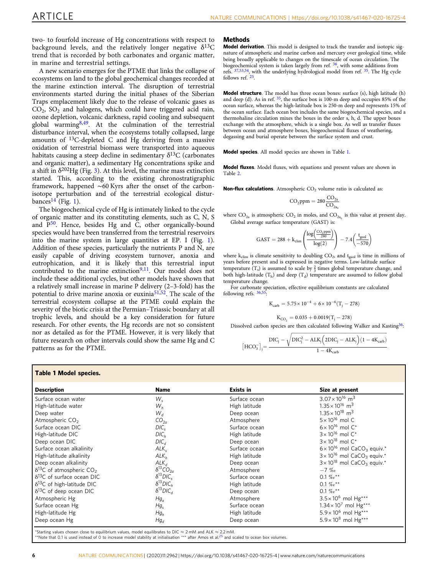<span id="page-5-0"></span>two- to fourfold increase of Hg concentrations with respect to background levels, and the relatively longer negative  $\delta^{13}C$ trend that is recorded by both carbonates and organic matter, in marine and terrestrial settings.

A new scenario emerges for the PTME that links the collapse of ecosystems on land to the global geochemical changes recorded at the marine extinction interval. The disruption of terrestrial environments started during the initial phases of the Siberian Traps emplacement likely due to the release of volcanic gases as  $CO<sub>2</sub>$ ,  $SO<sub>2</sub>$  and halogens, which could have triggered acid rain, ozone depletion, volcanic darkness, rapid cooling and subsequent global warming $8,49$  $8,49$  $8,49$ . At the culmination of the terrestrial disturbance interval, when the ecosystems totally collapsed, large amounts of 13C-depleted C and Hg deriving from a massive oxidation of terrestrial biomass were transported into aqueous habitats causing a steep decline in sedimentary  $\delta^{13}C$  (carbonates and organic matter), a sedimentary Hg concentrations spike and a shift in  $\delta^{202}$ Hg (Fig. [3](#page-4-0)). At this level, the marine mass extinction started. This, according to the existing chronostratigraphic framework, happened ∼60 Kyrs after the onset of the carbonisotope perturbation and of the terrestrial ecological distur-bances<sup>[14](#page-7-0)</sup> (Fig. [1](#page-1-0)).

The biogeochemical cycle of Hg is intimately linked to the cycle of organic matter and its constituting elements, such as C, N, S and  $\overline{P^{50}}$ . Hence, besides Hg and  $\overline{C}$ , other organically-bound species would have been transferred from the terrestrial reservoirs into the marine system in large quantities at EP. I (Fig. [1](#page-1-0)). Addition of these species, particularly the nutrients P and N, are easily capable of driving ecosystem turnover, anoxia and eutrophication, and it is likely that this terrestrial input contributed to the marine extinction $9,11$ . Our model does not include these additional cycles, but other models have shown that a relatively small increase in marine P delivery (2–3-fold) has the potential to drive marine anoxia or euxinia<sup>51,52</sup>. The scale of the terrestrial ecosystem collapse at the PTME could explain the severity of the biotic crisis at the Permian–Triassic boundary at all trophic levels, and should be a key consideration for future research. For other events, the Hg records are not so consistent nor as detailed as for the PTME. However, it is very likely that future research on other intervals could show the same Hg and C patterns as for the PTME.

# Table 1 Model species.

| <b>Description</b>                             | Name                  | Exists in     | Size at present                                              |
|------------------------------------------------|-----------------------|---------------|--------------------------------------------------------------|
| Surface ocean water                            | $W_{\rm s}$           | Surface ocean | $3.07 \times 10^{16}$ m <sup>3</sup>                         |
| High-latitude water                            | $W_h$                 | High latitude | $1.35 \times 10^{16}$ m <sup>3</sup>                         |
| Deep water                                     | $W_d$                 | Deep ocean    | $1.35 \times 10^{18}$ m <sup>3</sup>                         |
| Atmospheric CO <sub>2</sub>                    | CO <sub>2a</sub>      | Atmosphere    | $5 \times 10^{16}$ mol C                                     |
| Surface ocean DIC                              | DIC <sub>s</sub>      | Surface ocean | $6 \times 10^{16}$ mol C <sup>*</sup>                        |
| High-latitude DIC                              | DIC <sub>h</sub>      | High latitude | $3 \times 10^{16}$ mol C <sup>*</sup>                        |
| Deep ocean DIC                                 | DIC <sub>d</sub>      | Deep ocean    | $3 \times 10^{18}$ mol C <sup>*</sup>                        |
| Surface ocean alkalinity                       | $ALK_{c}$             | Surface ocean | $6 \times 10^{16}$ mol CaCO <sub>3</sub> equiv. <sup>*</sup> |
| High-latitude alkalinity                       | ALK <sub>h</sub>      | High latitude | $3 \times 10^{16}$ mol CaCO <sub>3</sub> equiv. <sup>*</sup> |
| Deep ocean alkalinity                          | $ALK_d$               | Deep ocean    | $3 \times 10^{18}$ mol CaCO <sub>3</sub> equiv. <sup>*</sup> |
| $\delta^{13}$ C of atmospheric CO <sub>2</sub> | $\delta^{13}CO_{2a}$  | Atmosphere    | $-7$ %                                                       |
| $\delta^{13}$ C of surface ocean DIC           | $\delta^{13} DIC_{s}$ | Surface ocean | 0.1 % $e^{**}$                                               |
| $\delta^{13}$ C of high-latitude DIC           | $\delta^{13} DIC_h$   | High latitude | 0.1 % $e^{**}$                                               |
| $\delta^{13}$ C of deep ocean DIC              | $\delta^{13} DIC_d$   | Deep ocean    | 0.1 % $e^{**}$                                               |
| Atmospheric Hg                                 | $Hg_a$                | Atmosphere    | $3.5 \times 10^6$ mol Hg***                                  |
| Surface ocean Hg                               | $Hg_{s}$              | Surface ocean | $1.34 \times 10^{7}$ mol Hg***                               |
| High-latitude Hg                               | $Hg_h$                | High latitude | $5.9 \times 10^6$ mol Hg***                                  |
| Deep ocean Hg                                  | $Hg_d$                | Deep ocean    | $5.9 \times 10^8$ mol Hg***                                  |

Starting values chosen close to equilibrium values, model equilibrates to DIC  $\approx$  2 mM and ALK  $\approx$  2.2 mM

\*Note that 0.1 is used instead of 0 to increase model stability at initialisation \*\*\* after Amos et al.<sup>[25](#page-7-0)</sup> and scaled to ocean box volumes

# Methods

Model derivation. This model is designed to track the transfer and isotopic signature of atmospheric and marine carbon and mercury over geological time, while being broadly applicable to changes on the timescale of ocean circulation. The biogeochemical system is taken largely from ref. <sup>[36](#page-7-0)</sup>, with some additions from refs. [37](#page-7-0),[53](#page-8-0),[54](#page-8-0), with the underlying hydrological model from ref. [35.](#page-7-0) The Hg cycle follows ref. [25](#page-7-0).

Model structure. The model has three ocean boxes: surface (s), high latitude (h) and deep (d). As in ref.  $35$ , the surface box is 100-m deep and occupies 85% of the ocean surface, whereas the high-latitude box is 250-m deep and represents 15% of the ocean surface. Each ocean box includes the same biogeochemical species, and a thermohaline circulation mixes the boxes in the order s, h, d. The upper boxes exchange with the atmosphere, which is a single box. As well as transfer fluxes between ocean and atmosphere boxes, biogeochemical fluxes of weathering, degassing and burial operate between the surface system and crust.

Model species. All model species are shown in Table 1.

Model fluxes. Model fluxes, with equations and present values are shown in Table [2](#page-6-0).

**Non-flux calculations.** Atmospheric  $CO<sub>2</sub>$  volume ratio is calculated as:

$$
CO_2ppm=280\frac{CO_{2a}}{CO_{2a_0}}
$$

where  $CO_{2a}$  is atmospheric  $CO_2$  in moles, and  $CO_{2a}$  is this value at present day. Global average surface temperature (GAST) is:

$$
\text{GAST} = 288 + k_{\text{clim}}\left(\!\frac{\log\!\left(\!\frac{\text{CO}_{\text{.2PPM}}}{280}\!\right)}{\log\!\left(2\right)}\!\right) - 7.4\!\left(\!\frac{t_{\text{geol}}}{-570}\!\right)
$$

where  $k_{\text{elim}}$  is climate sensitivity to doubling  $CO_2$ , and  $t_{\text{geol}}$  is time in millions of years before present and is expressed in negative terms. Low-latitude surface temperature  $(T_s)$  is assumed to scale by  $\frac{2}{3}$  times global temperature change, and both high-latitude  $(T_h)$  and deep  $(T_d)$  temperature are assumed to follow global temperature change.

For carbonate speciation, effective equilibrium constants are calculated following refs. [36,](#page-7-0)[55:](#page-8-0)

$$
K_{\text{carb}} = 5.75 \times 10^{-4} + 6 \times 10^{-6} (T_{\text{j}} - 278)
$$

$$
K_{\rm CO_2}=0.035+0.0019(T_{\rm j}-278)
$$

Dissolved carbon species are then calculated following Walker and Kasting<sup>36</sup>:

$$
{\left[ HCO_3^- \right]_j} \!=\! \frac{{\text{DIC}_j} - \sqrt{ DIC_j^2 - ALK_j \Big( 2DIC_j - ALK_j \Big) (1 - 4K_{\text{carb}})} }{1 - 4K_{\text{carb}}}
$$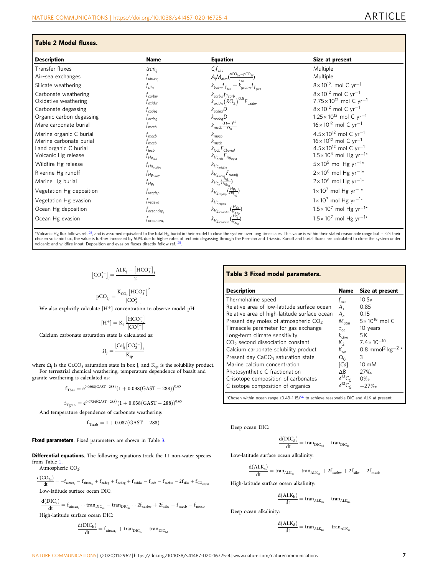# <span id="page-6-0"></span>Table 2 Model fluxes.

| <b>Description</b>       | <b>Name</b>                | <b>Equation</b>                                                                                                                                    | Size at present                                |
|--------------------------|----------------------------|----------------------------------------------------------------------------------------------------------------------------------------------------|------------------------------------------------|
| Transfer fluxes          | tran $_{ii}$               | $C_i f_{circ}$                                                                                                                                     | Multiple                                       |
| Air-sea exchanges        | t airsea,                  | $A_j M_{atm} (\frac{pCO_{2a}-pCO_{2j}}{\tau})$                                                                                                     | Multiple                                       |
| Silicate weathering      | $t_{\rm silw}$             | $k_{basw}f_{T_{bas}} + k_{granw}f_{T_{aran}}$                                                                                                      | $8 \times 10^{12}$ , mol C yr <sup>-1</sup>    |
| Carbonate weathering     | T <sub>carbw</sub>         | $\begin{array}{l} k_{\mathit{carbw}} f_{\mathit{Tcarb}} \\ k_{\mathit{oxidw}} \left( \mathit{RO}_{2} \right)^{0.5} F_{\mathit{oxidw}} \end{array}$ | $8 \times 10^{12}$ mol C yr <sup>-1</sup>      |
| Oxidative weathering     | t <sub>oxidw</sub>         |                                                                                                                                                    | 7.75 × 10 <sup>12</sup> mol C yr <sup>-1</sup> |
| Carbonate degassing      | Tccdeg                     | $k_{ccdeg}D$                                                                                                                                       | $8 \times 10^{12}$ mol C yr <sup>-1</sup>      |
| Organic carbon degassing | Tocdea                     | $k_{ocdeg}D$                                                                                                                                       | $1.25 \times 10^{12}$ mol C yr <sup>-1</sup>   |
| Mare carbonate burial    | $t_{mecb}$                 | $k_{mecb} \frac{(\Omega-1)^{1.7}}{\Omega_0}$                                                                                                       | $16 \times 10^{12}$ mol C yr <sup>-1</sup>     |
| Marine organic C burial  | f <sub>mocb</sub>          | $k_{\text{mock}}$                                                                                                                                  | $4.5 \times 10^{12}$ mol C yr <sup>-1</sup>    |
| Marine carbonate burial  | T mccb                     | $k_{mecb}$                                                                                                                                         | $16 \times 10^{12}$ mol C yr <sup>-1</sup>     |
| Land organic C burial    | T <sub>locb</sub>          | $k_{locb}F_{Cburial}$                                                                                                                              | $4.5 \times 10^{12}$ mol C yr <sup>-1</sup>    |
| Volcanic Hg release      | $I_{Hg_{\mathrm{vole}}}$   | $k_{Hg_{\text{volc}}}F_{Hg_{\text{input}}}$                                                                                                        | $1.5 \times 10^6$ mol Hg yr <sup>-1*</sup>     |
| Wildfire Hg release      | $f_{Hg_{\rm wildfire}}$    | $k_{Hg_{\rm wildfire}}$                                                                                                                            | $5 \times 10^5$ mol Hg yr <sup>-1*</sup>       |
| Riverine Hg runoff       | $f_{Hg_{\textit{runoff}}}$ | $k_{Hg_{\text{runoff}}F_{\text{runoff}}$                                                                                                           | $2 \times 10^6$ mol Hg yr <sup>-1*</sup>       |
| Marine Hg burial         | $f_{Hg_b}$                 | $k_{Hg_b}(\frac{Hg_s}{Hg_{s_0}})$                                                                                                                  | $2 \times 10^6$ mol Hg yr <sup>-1*</sup>       |
| Vegetation Hg deposition | $I_{\text{vegdep}}$        | $k_{Hg_{\text{vegdep}}}(\frac{Hg_a}{Hg_{a_0}})$                                                                                                    | $1 \times 10^7$ mol Hg yr <sup>-1*</sup>       |
| Vegetation Hg evasion    | I <sub>vegeva</sub>        | $k_{Hg_{vegeva}}$                                                                                                                                  | $1 \times 10^7$ mol Hg yr <sup>-1*</sup>       |
| Ocean Hg deposition      | $I$ <sub>oceandep</sub>    | $k_{Hg_{oceandep}}(\frac{Hg_a}{Hg_{a_o}})$                                                                                                         | $1.5 \times 10^7$ mol Hg yr <sup>-1*</sup>     |
| Ocean Hg evasion         | l oceaneva,                | $k_{Hg_{oceaneva}}$ .<br>$\overline{Hg}_{j\cap}$                                                                                                   | $1.5 \times 10^7$ mol Hg yr <sup>-1*</sup>     |

\*Volcanic Hg flux follows ref. <sup>25</sup>, and is assumed equivalent to the total Hg burial in their model to close the system over long timescales. This value is within their stated reasonable range but is -2× their chosen volcanic flux, the value is further increased by 50% due to higher rates of tectonic degassing through the Permian and Triassic. Runoff and burial fluxes are calculated to close the system under<br>volcanic and wildfir

$$
\begin{aligned}[CO_3^{2-}]_j = \frac{ALK_j - [HCO_3^-]_j}{2} \\ & pCO_{2j} = \frac{K_{CO_2} \left[HCO_3^- \right]^2}{[CO_3^{2-}]}\end{aligned}
$$

We also explicitly calculate [H<sup>+</sup>] concentration to observe model pH:

$$
[H^{+}] = K_{2} \frac{[HCO_{3}^{-}]}{[CO_{3}^{2-}]}
$$

Calcium carbonate saturation state is calculated as:

$$
\Omega_j=\frac{[Ca]_j\big[CO_3^{2-}\big]_j}{K_{sp}}
$$

where  $\Omega_j$  is the CaCO<sub>3</sub> saturation state in box j, and K<sub>sp</sub> is the solubility product.<br>For terrestrial chemical weathering, temperature dependence of basalt and granite weathering is calculated as:

$$
f_{\text{Tbas}} = e^{0.0608\left(\text{GAST}-288\right)} \left(1+0.038\left(\text{GAST}-288\right)\right)^{0.65}
$$

$$
f_{Tgran}=e^{0.0724(GAST-288)}(1+0.038(GAST-288))^{0.65}\,\rm
$$

And temperature dependence of carbonate weathering:

$$
f_{\text{Tcarb}}=1+0.087(\text{GAST}-288)
$$

# Fixed parameters. Fixed parameters are shown in Table 3.

Differential equations. The following equations track the 11 non-water species from Table [1](#page-5-0).

Atmospheric CO<sub>2</sub>:

\n
$$
\frac{d(CO_{2a})}{dt} = -f_{\text{aisea}_a} - f_{\text{aisea}_b} + f_{\text{codeg}} + f_{\text{codeg}} + f_{\text{oddw}} - f_{\text{locb}} - f_{\text{catbw}} - 2f_{\text{silw}} + f_{\text{CO}_{\text{2input}}}
$$
\nLow-latitude surface ocean DIC:

\n
$$
\frac{d(DIC_s)}{dt} = f_{\text{max}} + \text{tran}_{\text{DC}} - \text{tran}_{\text{DC}} + 2f_{\text{max}} + 2f_{\text{max}} - f_{\text{max}} - f_{\text{max}} + f_{\text{max}}
$$

 $\frac{d\mathbf{r}}{dt} = \mathbf{r}_{\text{airsea}_s} + \text{tran}_{\text{DIC}_{\text{ds}}}$  $-\tan_{\text{DIC}_{\text{sh}}} + 2f_{\text{carbw}} + 2f_{\text{silw}} -$ <sup>t</sup> mccb <sup>t</sup> mocl High-latitude surface ocean DIC:

$$
\frac{d(DIC_h)}{dt} = f_{\text{airsea}_h} + \text{tran}_{DIC_{sh}} - \text{tran}_{DIC_{hd}}
$$

# Table 3 Fixed model parameters.

| <b>Description</b>                           | <b>Name</b>       | Size at present                          |
|----------------------------------------------|-------------------|------------------------------------------|
| Thermohaline speed                           | t <sub>circ</sub> | 10Sv                                     |
| Relative area of low-latitude surface ocean  | A.                | 0.85                                     |
| Relative area of high-latitude surface ocean | $A_h$             | 0.15                                     |
| Present day moles of atmospheric $CO2$       | $M_{atm}$         | $5 \times 10^{16}$ mol C                 |
| Timescale parameter for gas exchange         | $\tau_{oa}$       | 10 years                                 |
| Long-term climate sensitivity                | $k_{\text{clim}}$ | 5 K                                      |
| $CO2$ second dissociation constant           | K,                | $7.4 \times 10^{-10}$                    |
| Calcium carbonate solubility product         | $K_{sn}$          | 0.8 mmol <sup>2</sup> kg <sup>-2 *</sup> |
| Present day $CaCO3$ saturation state         | $\Omega_0$        | 3                                        |
| Marine calcium concentration                 | [Ca]              | $10 \text{ mM}$                          |
| Photosynthetic C fractionation               | ΔB                | $27\%$                                   |
| C-isotope composition of carbonates          | $\delta^{13}C_c$  | $0\%$                                    |
| C isotope composition of organics            | $\delta^{13}C_G$  | $-27%$                                   |
|                                              |                   |                                          |

\*Chosen within ocean range (0.43–1.15)[56](#page-8-0) to achieve reasonable DIC and ALK at present.

Deep ocean DIC:

$$
\frac{d(DIC_d)}{dt} = tran_{DIC_{hd}} - tran_{DIC_d}
$$

Low-latitude surface ocean alkalinity:

$$
\frac{d(ALK_s)}{dt} = \text{tran}_{\text{ALK}_{ds}} - \text{tran}_{\text{ALK}_{sh}} + 2f_{\text{carbw}} + 2f_{\text{silw}} - 2f_{\text{mccb}}
$$

High-latitude surface ocean alkalinity:

$$
\frac{d(ALK_{h})}{dt} = \text{tran}_{ALK_{sh}} - \text{tran}_{ALK_{hc}}
$$

Deep ocean alkalinity:

$$
\frac{d(ALK_d)}{dt} = \text{tran}_{ALK_{hd}} - \text{tran}_{ALK_{ds}}
$$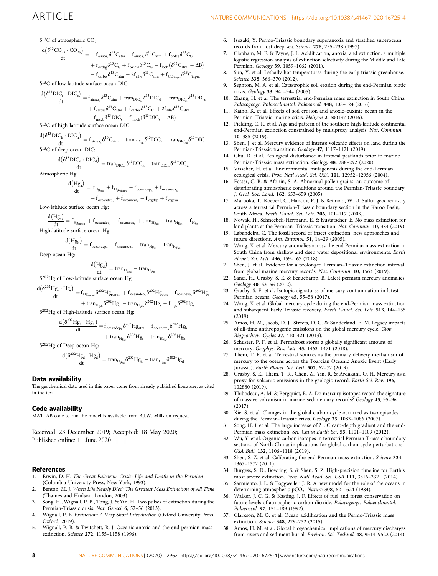<span id="page-7-0"></span> $\delta^{13}$ C of atmospheric CO<sub>2</sub>:

$$
\begin{aligned} \frac{d\big(\delta^{13}CO_{2a}\cdot CO_{2a}\big)}{dt} &= -\,f_{\text{airsea}_a}\delta^{13}C_{atm} - f_{\text{airsea}_b}\delta^{13}C_{atm} + f_{\text{ccdeg}}\delta^{13}C_C \\ &\quad + f_{\text{ocdeg}}\delta^{13}C_G + f_{\text{oxidity}}\delta^{13}C_G - f_{\text{locb}}\big(\delta^{13}C_{atm} - \Delta B\big) \\ &\quad - f_{\text{carbw}}\delta^{13}C_{atm} - 2f_{\text{silw}}\delta^{13}C_{atm} + f_{CO_{2\text{input}}}\delta^{13}C_{\text{input}} \end{aligned}
$$

 $\delta^{13}$ C of low-latitude surface ocean DIC:

$$
\frac{d(\delta^{13}DIC_s \cdot DIC_s)}{dt} = f_{\text{airsea}_a} \delta^{13}C_{\text{atm}} + \text{tran}_{\text{DIC}_{\text{ch}}} \delta^{13}DIC_d - \text{tran}_{\text{DIC}_{\text{ch}}} \delta^{13}DIC_s
$$
  
+  $f_{\text{carbw}} \delta^{13}C_{\text{atm}} + f_{\text{carbw}} \delta^{13}C_C + 2f_{\text{silw}} \delta^{13}C_{\text{atm}}$   
-  $f_{\text{mech}} \delta^{13}DIC_s - f_{\text{mech}} (\delta^{13}DIC_s - \Delta B)$   
 $\delta^{13}C$  of high-latitude surface ocean DIC:

$$
\frac{d(\delta^{13}DIC_h \cdot DIC_h)}{dt} = f_{\text{airsea}_h} \delta^{13}C_{atm} + \text{tran}_{\text{DIC}_{sh}} \delta^{13}DIC_s - \text{tran}_{\text{DIC}_{hd}} \delta^{13}DIC_h
$$

 $\delta^{13}$ C of deep ocean DIC:

$$
\frac{d(\delta^{13}DIC_d \cdot DIC_d)}{dt} = \text{tran}_{\text{DIC}_{hd}} \delta^{13}DIC_h - \text{tran}_{\text{DIC}_{dd}} \delta^{13}DIC_d
$$

Atmospheric Hg:

$$
\begin{aligned} \frac{d\big(Hg_a\big)}{dt} &=\ f_{Hg_{vol} } +f_{Hg_{wildtextrm{filter}}} -f_{oceander_h}+f_{oceance_h} \\ &-f_{oceander_s}+f_{oceance_h} -f_{wgedep}+f_{vegeva} \end{aligned}
$$

Low-latitude surface ocean Hg:

$$
\frac{d(Hg_s)}{dt} = f_{Hg_{\text{cutoff}}} + f_{\text{oceander}_s} - f_{\text{oceance}_s} + \text{tran}_{Hg_{\text{ds}}} - \text{tran}_{Hg_{\text{sh}}} - f_{Hg_{\text{sh}}}
$$

High-latitude surface ocean Hg:

$$
\frac{d(Hg_h)}{dt} = f_{oceandep_h} - f_{oceaneva_h} + tran_{Hg_{sh}} - tran_{Hg_{hd}}
$$

Deep ocean Hg:

$$
\frac{d\big(Hg_d\big)}{dt} = tran_{Hg_{hd}} - tran_{Hg_{ds}}
$$

 $\delta^{202}$ Hg of Low-latitude surface ocean Hg:

$$
\frac{d\left(\delta^{202}Hg_s\cdot Hg_s\right)}{dt}=f_{Hg_{\text{runoff}}}\delta^{202}Hg_{\text{runoff}}+f_{\text{oceander}_s}\delta^{202}Hg_{\text{atm}}-f_{\text{oceaneva}_s}\delta^{202}Hg_s
$$

$$
+\tan_{^1\!H_{g_{ds}}}\delta^{202}Hg_d-\tan_{^1\!H_{g_{sh}}}\delta^{202}Hg_s-f_{^1\!Hg_b}\delta^{202}Hg_s
$$

δ202Hg of High-latitude surface ocean Hg:

$$
\begin{aligned} \frac{d \big( \delta^{202} H g_h \cdot H g_h \big)}{dt} = & ~{} f_{oceander_h} \delta^{202} H g_{atm} - f_{ocearea_h} \delta^{202} H g_h \\ & +{}~ {tran}_{H g_{sh}} \delta^{202} H g_s - {tran}_{H g_{sh}} \delta^{202} H g_h \end{aligned}
$$

$$
\delta^{202}
$$
Hg of Deep ocean Hg:

$$
\frac{d\big(\delta^{202}Hg_d\cdot Hg_d\big)}{dt} = \text{tran}_{Hg_{hd}}\delta^{202}Hg_h - \text{tran}_{Hg_{ds}}\delta^{202}Hg_d
$$

# Data availability

The geochemical data used in this paper come from already published literature, as cited in the text.

# Code availability

MATLAB code to run the model is available from B.J.W. Mills on request.

Received: 23 December 2019; Accepted: 18 May 2020; Published online: 11 June 2020

# References

- 1. Erwin, D. H. The Great Paleozoic Crisis: Life and Death in the Permian (Columbia University Press, New York, 1993).
- 2. Benton, M. J. When Life Nearly Died: The Greatest Mass Extinction of All Time (Thames and Hudson, London, 2003).
- 3. Song, H., Wignall, P. B., Tong, J. & Yin, H. Two pulses of extinction during the Permian-Triassic crisis. Nat. Geosci. 6, 52-56 (2013).
- 4. Wignall, P. B. Extinction: A Very Short Introduction (Oxford University Press, Oxford, 2019).
- 5. Wignall, P. B. & Twitchett, R. J. Oceanic anoxia and the end permian mass extinction. Science 272, 1155–1158 (1996).
- 6. Isozaki, Y. Permo-Triassic boundary superanoxia and stratified superocean: records from lost deep sea. Science 276, 235–238 (1997).
- 7. Clapham, M. E. & Payne, J. L. Acidification, anoxia, and extinction: a multiple logistic regression analysis of extinction selectivity during the Middle and Late Permian. Geology 39, 1059–1062 (2011).
- Sun, Y. et al. Lethally hot temperatures during the early triassic greenhouse. Science 338, 366–370 (2012).
- 9. Sephton, M. A. et al. Catastrophic soil erosion during the end-Permian biotic crisis. Geology 33, 941–944 (2005).
- 10. Zhang, H. et al. The terrestrial end-Permian mass extinction in South China. Palaeogeogr. Palaeoclimatol. Palaeoecol. 448, 108–124 (2016).
- 11. Kaiho, K. et al. Effects of soil erosion and anoxic–euxinic ocean in the Permian–Triassic marine crisis. Heliyon 2, e00137 (2016).
- 12. Fielding, C. R. et al. Age and pattern of the southern high-latitude continental end-Permian extinction constrained by multiproxy analysis. Nat. Commun. 10, 385 (2019).
- 13. Shen, J. et al. Mercury evidence of intense volcanic effects on land during the Permian-Triassic transition. Geology 47, 1117–1121 (2019).
- 14. Chu, D. et al. Ecological disturbance in tropical peatlands prior to marine Permian-Triassic mass extinction. Geology 48, 288–292 (2020).
- 15. Visscher, H. et al. Environmental mutagenesis during the end-Permian ecological crisis. Proc. Natl Acad. Sci. USA 101, 12952–12956 (2004).
- 16. Foster, C. B. & Afonin, S. A. Abnormal pollen grains: an outcome of deteriorating atmospheric conditions around the Permian-Triassic boundary. J. Geol. Soc. Lond. 162, 653–659 (2005).
- 17. Maruoka, T., Koeberl, C., Hancox, P. J. & Reimold, W. U. Sulfur geochemistry across a terrestrial Permian-Triassic boundary section in the Karoo Basin, South Africa. Earth Planet. Sci. Lett. 206, 101–117 (2003).
- 18. Nowak, H., Schneebeli-Hermann, E. & Kustatscher, E. No mass extinction for land plants at the Permian–Triassic transition. Nat. Commun. 10, 384 (2019).
- 19. Labandeira, C. The fossil record of insect extinction: new approaches and future directions. Am. Entomol. 51, 14–29 (2005).
- 20. Wang, X. et al. Mercury anomalies across the end Permian mass extinction in South China from shallow and deep water depositional environments. Earth Planet. Sci. Lett. 496, 159–167 (2018).
- 21. Shen, J. et al. Evidence for a prolonged Permian–Triassic extinction interval from global marine mercury records. Nat. Commun. 10, 1563 (2019).
- 22. Sanei, H., Grasby, S. E. & Beauchamp, B. Latest permian mercury anomalies. Geology 40, 63–66 (2012).
- 23. Grasby, S. E. et al. Isotopic signatures of mercury contamination in latest Permian oceans. Geology 45, 55–58 (2017).
- 24. Wang, X. et al. Global mercury cycle during the end-Permian mass extinction and subsequent Early Triassic recovery. Earth Planet. Sci. Lett. 513, 144–155 (2019).
- 25. Amos, H. M., Jacob, D. J., Streets, D. G. & Sunderland, E. M. Legacy impacts of all-time anthropogenic emissions on the global mercury cycle. Glob. Biogeochem. Cycles 27, 410–421 (2013).
- 26. Schuster, P. F. et al. Permafrost stores a globally significant amount of mercury. Geophys. Res. Lett. 45, 1463–1471 (2018).
- 27. Them, T. R. et al. Terrestrial sources as the primary delivery mechanism of mercury to the oceans across the Toarcian Oceanic Anoxic Event (Early Jurassic). Earth Planet. Sci. Lett. 507, 62–72 (2019).
- 28. Grasby, S. E., Them, T. R., Chen, Z., Yin, R. & Ardakani, O. H. Mercury as a proxy for volcanic emissions in the geologic record. Earth-Sci. Rev. 196, 102880 (2019).
- 29. Thibodeau, A. M. & Bergquist, B. A. Do mercury isotopes record the signature of massive volcanism in marine sedimentary records? Geology 45, 95–96 (2017).
- 30. Xie, S. et al. Changes in the global carbon cycle occurred as two episodes during the Permian-Triassic crisis. Geology 35, 1083–1086 (2007).
- 31. Song, H. J. et al. The large increase of δ13C carb-depth gradient and the end-Permian mass extinction. Sci. China Earth Sci. 55, 1101-1109 (2012).
- 32. Wu, Y. et al. Organic carbon isotopes in terrestrial Permian-Triassic boundary sections of North China: implications for global carbon cycle perturbations. GSA Bull. 132, 1106–1118 (2019).
- 33. Shen, S. Z. et al. Calibrating the end-Permian mass extinction. Science 334, 1367–1372 (2011).
- 34. Burgess, S. D., Bowring, S. & Shen, S. Z. High-precision timeline for Earth′s most severe extinction. Proc. Natl Acad. Sci. USA 111, 3316–3321 (2014).
- 35. Sarmiento, J. L. & Toggweiler, J. R. A new model for the role of the oceans in determining atmospheric pCO<sub>2</sub>. Nature 308, 621-624 (1984).
- 36. Walker, J. C. G. & Kasting, J. F. Effects of fuel and forest conservation on future levels of atmospheric carbon dioxide. Palaeogeogr. Palaeoclimatol. Palaeoecol. 97, 151–189 (1992).
- 37. Clarkson, M. O. et al. Ocean acidification and the Permo-Triassic mass extinction. Science 348, 229–232 (2015).
- 38. Amos, H. M. et al. Global biogeochemical implications of mercury discharges from rivers and sediment burial. Environ. Sci. Technol. 48, 9514–9522 (2014).